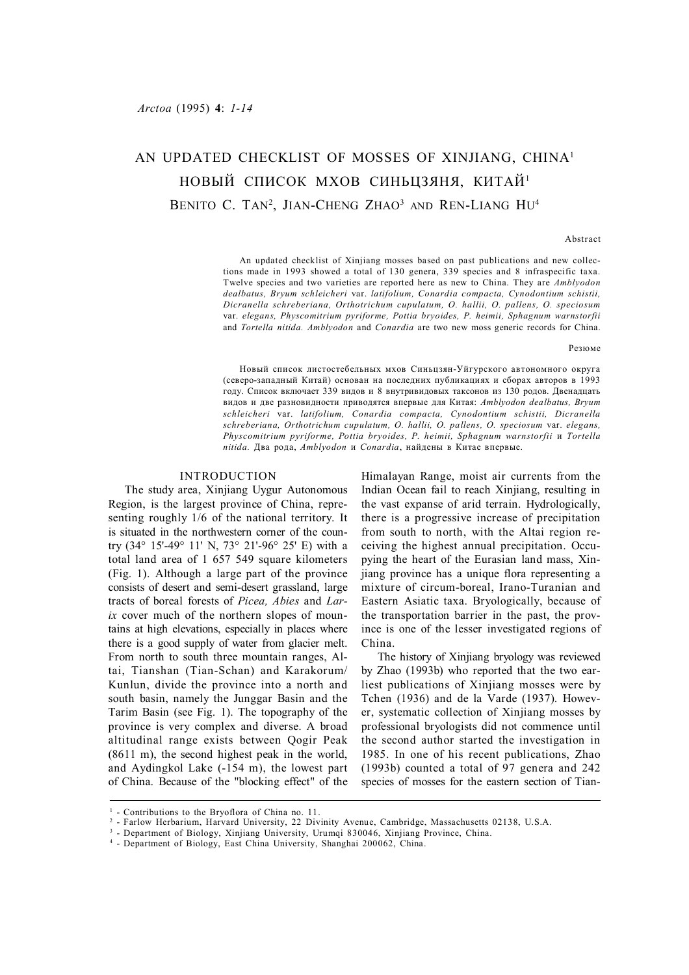# AN UPDATED CHECKLIST OF MOSSES OF XINJIANG, CHINA<sup>1</sup> НОВЫЙ СПИСОК МХОВ СИНЬЦЗЯНЯ, КИТАЙ<sup>1</sup> BENITO C. TAN<sup>2</sup>, JIAN-CHENG ZHAO<sup>3</sup> and REN-LIANG HU<sup>4</sup>

#### Abstract

An updated checklist of Xinjiang mosses based on past publications and new collections made in 1993 showed a total of 130 genera, 339 species and 8 infraspecific taxa. Twelve species and two varieties are reported here as new to China. They are *Amblyodon dealbatus, Bryum schleicheri* var. *latifolium, Conardia compacta, Cynodontium schistii, Dicranella schreberiana, Orthotrichum cupulatum, O. hallii, O. pallens, O. speciosum* var. *elegans, Physcomitrium pyriforme, Pottia bryoides, P. heimii, Sphagnum warnstorfii* and *Tortella nitida. Amblyodon* and *Conardia* are two new moss generic records for China.

Резюме

Новый список листостебельных мхов Синьцзян-Уйгурского автономного округа (северо-западный Китай) основан на последних публикациях и сборах авторов в 1993 году. Список включает 339 видов и 8 внутривидовых таксонов из 130 родов. Двенадцать видов и две разновидности приводятся впервые для Китая: *Amblyodon dealbatus, Bryum schleicheri* var. *latifolium, Conardia compacta, Cynodontium schistii, Dicranella schreberiana, Orthotrichum cupulatum, O. hallii, O. pallens, O. speciosum* var. *elegans, Physcomitrium pyriforme, Pottia bryoides, P. heimii, Sphagnum warnstorfii* и *Tortella nitida.* Два рода, *Amblyodon* и *Conardia*, найдены в Китае впервые.

# INTRODUCTION

The study area, Xinjiang Uygur Autonomous Region, is the largest province of China, representing roughly 1/6 of the national territory. It is situated in the northwestern corner of the country (34° 15'-49° 11' N, 73° 21'-96° 25' E) with a total land area of 1 657 549 square kilometers (Fig. 1). Although a large part of the province consists of desert and semi-desert grassland, large tracts of boreal forests of *Picea, Abies* and *Larix* cover much of the northern slopes of mountains at high elevations, especially in places where there is a good supply of water from glacier melt. From north to south three mountain ranges, Altai, Tianshan (Tian-Schan) and Karakorum/ Kunlun, divide the province into a north and south basin, namely the Junggar Basin and the Tarim Basin (see Fig. 1). The topography of the province is very complex and diverse. A broad altitudinal range exists between Qogir Peak (8611 m), the second highest peak in the world, and Aydingkol Lake (-154 m), the lowest part of China. Because of the "blocking effect" of the Himalayan Range, moist air currents from the Indian Ocean fail to reach Xinjiang, resulting in the vast expanse of arid terrain. Hydrologically, there is a progressive increase of precipitation from south to north, with the Altai region receiving the highest annual precipitation. Occupying the heart of the Eurasian land mass, Xinjiang province has a unique flora representing a mixture of circum-boreal, Irano-Turanian and Eastern Asiatic taxa. Bryologically, because of the transportation barrier in the past, the province is one of the lesser investigated regions of China.

The history of Xinjiang bryology was reviewed by Zhao (1993b) who reported that the two earliest publications of Xinjiang mosses were by Tchen (1936) and de la Varde (1937). However, systematic collection of Xinjiang mosses by professional bryologists did not commence until the second author started the investigation in 1985. In one of his recent publications, Zhao (1993b) counted a total of 97 genera and 242 species of mosses for the eastern section of Tian-

<sup>&</sup>lt;sup>1</sup> - Contributions to the Bryoflora of China no. 11.

<sup>2</sup> - Farlow Herbarium, Harvard University, 22 Divinity Avenue, Cambridge, Massachusetts 02138, U.S.A.

<sup>3</sup> - Department of Biology, Xinjiang University, Urumqi 830046, Xinjiang Province, China.

<sup>4</sup> - Department of Biology, East China University, Shanghai 200062, China.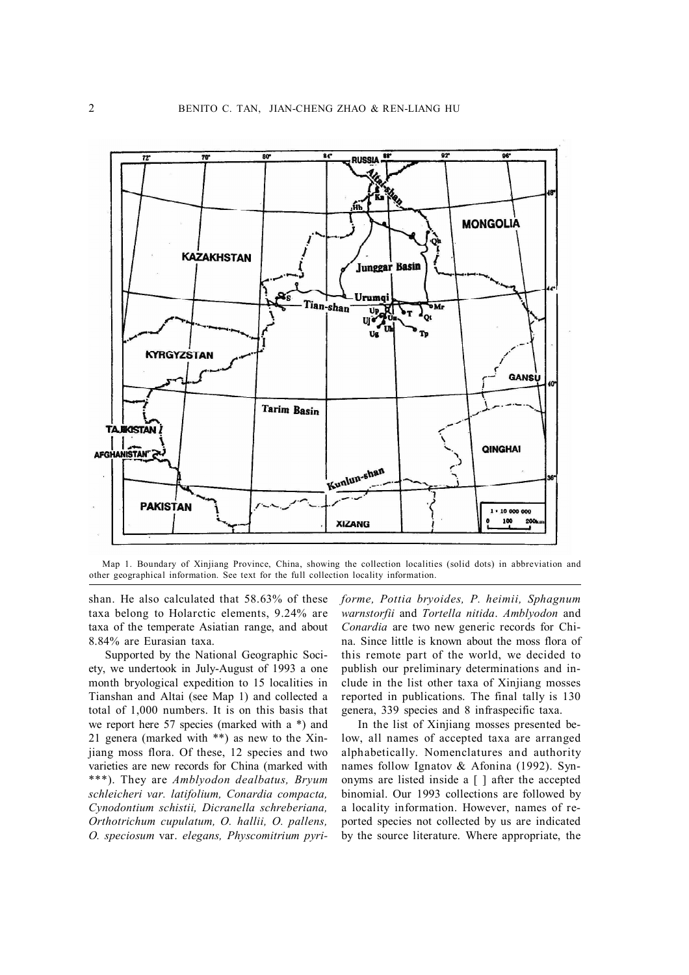

Map 1. Boundary of Xinjiang Province, China, showing the collection localities (solid dots) in abbreviation and other geographical information. See text for the full collection locality information.

shan. He also calculated that 58.63% of these taxa belong to Holarctic elements, 9.24% are taxa of the temperate Asiatian range, and about 8.84% are Eurasian taxa.

Supported by the National Geographic Society, we undertook in July-August of 1993 a one month bryological expedition to 15 localities in Tianshan and Altai (see Map 1) and collected a total of 1,000 numbers. It is on this basis that we report here 57 species (marked with a \*) and 21 genera (marked with \*\*) as new to the Xinjiang moss flora. Of these, 12 species and two varieties are new records for China (marked with \*\*\*). They are *Amblyodon dealbatus, Bryum schleicheri var. latifolium, Conardia compacta, Cynodontium schistii, Dicranella schreberiana, Orthotrichum cupulatum, O. hallii, O. pallens, O. speciosum* var. *elegans, Physcomitrium pyri-* *forme, Pottia bryoides, P. heimii, Sphagnum warnstorfii* and *Tortella nitida*. *Amblyodon* and *Conardia* are two new generic records for China. Since little is known about the moss flora of this remote part of the world, we decided to publish our preliminary determinations and include in the list other taxa of Xinjiang mosses reported in publications. The final tally is 130 genera, 339 species and 8 infraspecific taxa.

In the list of Xinjiang mosses presented below, all names of accepted taxa are arranged alphabetically. Nomenclatures and authority names follow Ignatov & Afonina (1992). Synonyms are listed inside a  $\lceil \cdot \rceil$  after the accepted binomial. Our 1993 collections are followed by a locality information. However, names of reported species not collected by us are indicated by the source literature. Where appropriate, the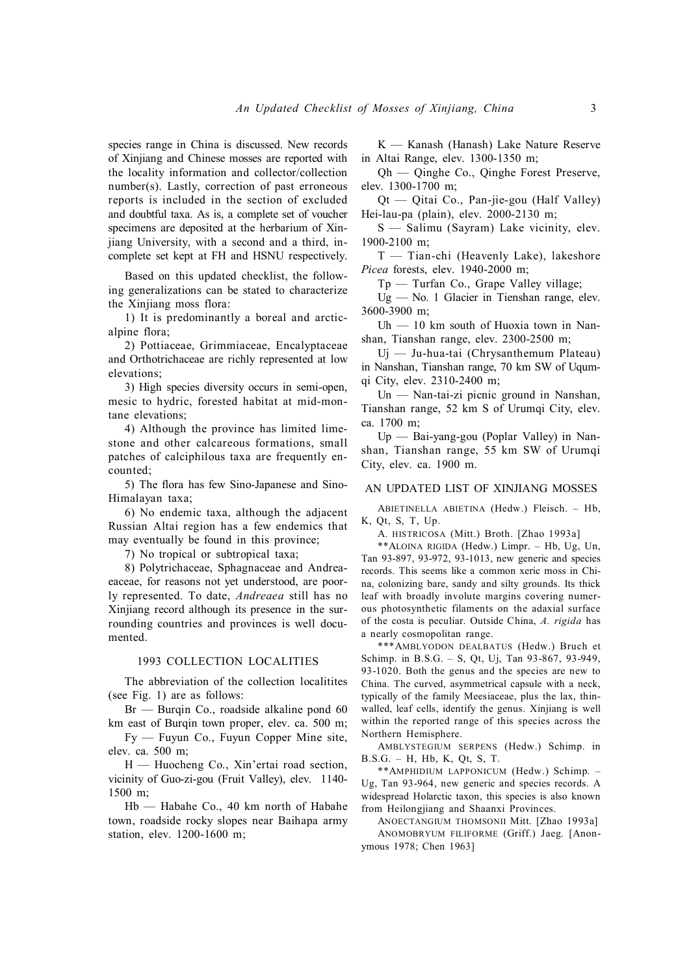species range in China is discussed. New records of Xinjiang and Chinese mosses are reported with the locality information and collector/collection number(s). Lastly, correction of past erroneous reports is included in the section of excluded and doubtful taxa. As is, a complete set of voucher specimens are deposited at the herbarium of Xinjiang University, with a second and a third, incomplete set kept at FH and HSNU respectively.

Based on this updated checklist, the following generalizations can be stated to characterize the Xinjiang moss flora:

1) It is predominantly a boreal and arcticalpine flora;

2) Pottiaceae, Grimmiaceae, Encalyptaceae and Orthotrichaceae are richly represented at low elevations;

3) High species diversity occurs in semi-open, mesic to hydric, forested habitat at mid-montane elevations;

4) Although the province has limited limestone and other calcareous formations, small patches of calciphilous taxa are frequently encounted;

5) The flora has few Sino-Japanese and Sino-Himalayan taxa;

6) No endemic taxa, although the adjacent Russian Altai region has a few endemics that may eventually be found in this province;

7) No tropical or subtropical taxa;

8) Polytrichaceae, Sphagnaceae and Andreaeaceae, for reasons not yet understood, are poorly represented. To date, *Andreaea* still has no Xinjiang record although its presence in the surrounding countries and provinces is well documented.

## 1993 COLLECTION LOCALITIES

The abbreviation of the collection localitites (see Fig. 1) are as follows:

Br — Burqin Co., roadside alkaline pond 60 km east of Burqin town proper, elev. ca. 500 m;

Fy — Fuyun Co., Fuyun Copper Mine site, elev. ca. 500 m;

H — Huocheng Co., Xin'ertai road section, vicinity of Guo-zi-gou (Fruit Valley), elev. 1140- 1500 m;

Hb — Habahe Co., 40 km north of Habahe town, roadside rocky slopes near Baihapa army station, elev. 1200-1600 m;

K — Kanash (Hanash) Lake Nature Reserve in Altai Range, elev. 1300-1350 m;

Qh — Qinghe Co., Qinghe Forest Preserve, elev. 1300-1700 m;

Qt — Qitai Co., Pan-jie-gou (Half Valley) Hei-lau-pa (plain), elev. 2000-2130 m;

S — Salimu (Sayram) Lake vicinity, elev. 1900-2100 m;

T — Tian-chi (Heavenly Lake), lakeshore *Picea* forests, elev. 1940-2000 m;

Tp — Turfan Co., Grape Valley village;

Ug — No. 1 Glacier in Tienshan range, elev. 3600-3900 m;

Uh  $-10$  km south of Huoxia town in Nanshan, Tianshan range, elev. 2300-2500 m;

Uj — Ju-hua-tai (Chrysanthemum Plateau) in Nanshan, Tianshan range, 70 km SW of Uqumqi City, elev. 2310-2400 m;

Un — Nan-tai-zi picnic ground in Nanshan, Tianshan range, 52 km S of Urumqi City, elev. ca. 1700 m;

Up — Bai-yang-gou (Poplar Valley) in Nanshan, Tianshan range, 55 km SW of Urumqi City, elev. ca. 1900 m.

# AN UPDATED LIST OF XINJIANG MOSSES

ABIETINELLA ABIETINA (Hedw.) Fleisch. – Hb, K, Qt, S, T, Up.

A. HISTRICOSA (Mitt.) Broth. [Zhao 1993a]

\*\*ALOINA RIGIDA (Hedw.) Limpr. – Hb, Ug, Un, Tan 93-897, 93-972, 93-1013, new generic and species records. This seems like a common xeric moss in China, colonizing bare, sandy and silty grounds. Its thick leaf with broadly involute margins covering numerous photosynthetic filaments on the adaxial surface of the costa is peculiar. Outside China, *A. rigida* has a nearly cosmopolitan range.

\*\*\*AMBLYODON DEALBATUS (Hedw.) Bruch et Schimp. in B.S.G. – S, Qt, Uj, Tan 93-867, 93-949, 93-1020. Both the genus and the species are new to China. The curved, asymmetrical capsule with a neck, typically of the family Meesiaceae, plus the lax, thinwalled, leaf cells, identify the genus. Xinjiang is well within the reported range of this species across the Northern Hemisphere.

AMBLYSTEGIUM SERPENS (Hedw.) Schimp. in B.S.G. – H, Hb, K, Qt, S, T.

\*\*AMPHIDIUM LAPPONICUM (Hedw.) Schimp. – Ug, Tan 93-964, new generic and species records. A widespread Holarctic taxon, this species is also known from Heilongjiang and Shaanxi Provinces.

ANOECTANGIUM THOMSONII Mitt. [Zhao 1993a] ANOMOBRYUM FILIFORME (Griff.) Jaeg. [Anonymous 1978; Chen 1963]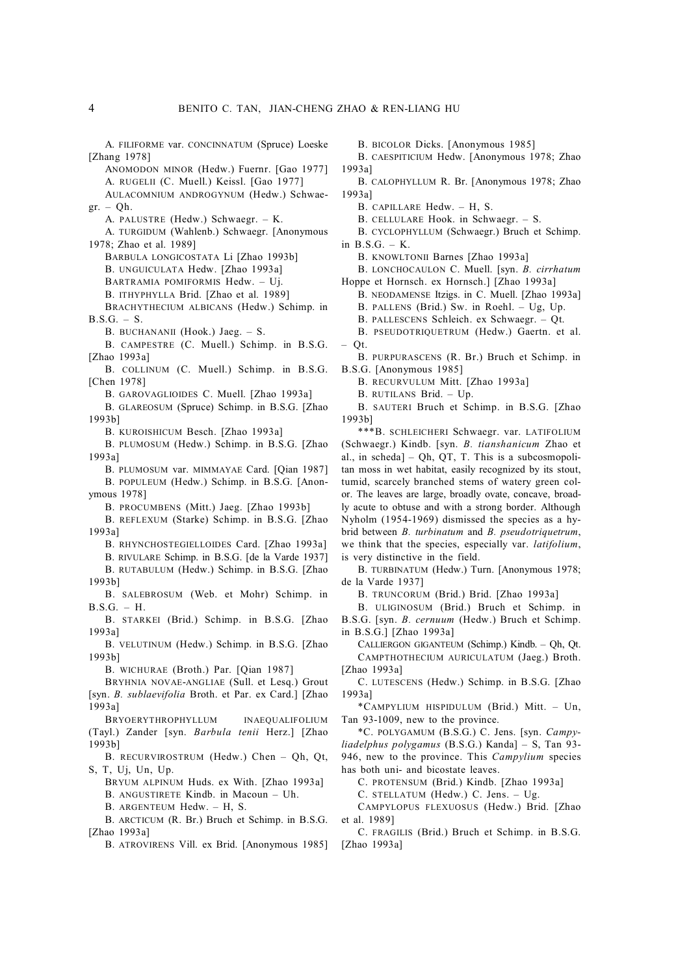A. FILIFORME var. CONCINNATUM (Spruce) Loeske [Zhang 1978]

ANOMODON MINOR (Hedw.) Fuernr. [Gao 1977]

A. RUGELII (C. Muell.) Keissl. [Gao 1977] AULACOMNIUM ANDROGYNUM (Hedw.) Schwae-

 $gr. - Qh.$ 

A. PALUSTRE (Hedw.) Schwaegr. – K.

A. TURGIDUM (Wahlenb.) Schwaegr. [Anonymous 1978; Zhao et al. 1989]

BARBULA LONGICOSTATA Li [Zhao 1993b]

B. UNGUICULATA Hedw. [Zhao 1993a]

BARTRAMIA POMIFORMIS Hedw. – Uj.

B. ITHYPHYLLA Brid. [Zhao et al. 1989]

BRACHYTHECIUM ALBICANS (Hedw.) Schimp. in  $B.S.G. - S.$ 

B. BUCHANANII (Hook.) Jaeg. – S.

B. CAMPESTRE (C. Muell.) Schimp. in B.S.G. [Zhao 1993a]

B. COLLINUM (C. Muell.) Schimp. in B.S.G. [Chen 1978]

B. GAROVAGLIOIDES C. Muell. [Zhao 1993a]

B. GLAREOSUM (Spruce) Schimp. in B.S.G. [Zhao 1993b]

B. KUROISHICUM Besch. [Zhao 1993a]

B. PLUMOSUM (Hedw.) Schimp. in B.S.G. [Zhao 1993a]

B. PLUMOSUM var. MIMMAYAE Card. [Qian 1987] B. POPULEUM (Hedw.) Schimp. in B.S.G. [Anonymous 1978]

B. PROCUMBENS (Mitt.) Jaeg. [Zhao 1993b]

B. REFLEXUM (Starke) Schimp. in B.S.G. [Zhao 1993a]

B. RHYNCHOSTEGIELLOIDES Card. [Zhao 1993a]

B. RIVULARE Schimp. in B.S.G. [de la Varde 1937]

B. RUTABULUM (Hedw.) Schimp. in B.S.G. [Zhao 1993b]

B. SALEBROSUM (Web. et Mohr) Schimp. in B.S.G. – H.

B. STARKEI (Brid.) Schimp. in B.S.G. [Zhao 1993a]

B. VELUTINUM (Hedw.) Schimp. in B.S.G. [Zhao 1993b]

B. WICHURAE (Broth.) Par. [Qian 1987]

BRYHNIA NOVAE-ANGLIAE (Sull. et Lesq.) Grout [syn. *B. sublaevifolia* Broth. et Par. ex Card.] [Zhao 1993a]

BRYOERYTHROPHYLLUM INAEQUALIFOLIUM (Tayl.) Zander [syn. *Barbula tenii* Herz.] [Zhao 1993b]

B. RECURVIROSTRUM (Hedw.) Chen – Qh, Qt, S, T, Uj, Un, Up.

BRYUM ALPINUM Huds. ex With. [Zhao 1993a]

B. ANGUSTIRETE Kindb. in Macoun – Uh.

B. ARGENTEUM Hedw. – H, S.

B. ARCTICUM (R. Br.) Bruch et Schimp. in B.S.G. [Zhao 1993a]

B. ATROVIRENS Vill. ex Brid. [Anonymous 1985]

B. BICOLOR Dicks. [Anonymous 1985]

B. CAESPITICIUM Hedw. [Anonymous 1978; Zhao 1993a]

B. CALOPHYLLUM R. Br. [Anonymous 1978; Zhao 1993a]

B. CAPILLARE Hedw. – H, S.

B. CELLULARE Hook. in Schwaegr. – S.

B. CYCLOPHYLLUM (Schwaegr.) Bruch et Schimp.

in  $B.S.G. - K$ .

B. KNOWLTONII Barnes [Zhao 1993a]

B. LONCHOCAULON C. Muell. [syn. *B. cirrhatum* Hoppe et Hornsch. ex Hornsch.] [Zhao 1993a]

B. NEODAMENSE Itzigs. in C. Muell. [Zhao 1993a]

B. PALLENS (Brid.) Sw. in Roehl. – Ug, Up.

B. PALLESCENS Schleich. ex Schwaegr. – Qt.

B. PSEUDOTRIQUETRUM (Hedw.) Gaertn. et al. – Qt.

B. PURPURASCENS (R. Br.) Bruch et Schimp. in B.S.G. [Anonymous 1985]

B. RECURVULUM Mitt. [Zhao 1993a]

B. RUTILANS Brid. – Up.

B. SAUTERI Bruch et Schimp. in B.S.G. [Zhao 1993b]

\*\*\*B. SCHLEICHERI Schwaegr. var. LATIFOLIUM (Schwaegr.) Kindb. [syn. *B. tianshanicum* Zhao et al., in scheda]  $-$  Qh, QT, T. This is a subcosmopolitan moss in wet habitat, easily recognized by its stout, tumid, scarcely branched stems of watery green color. The leaves are large, broadly ovate, concave, broadly acute to obtuse and with a strong border. Although Nyholm (1954-1969) dismissed the species as a hybrid between *B. turbinatum* and *B. pseudotriquetrum*, we think that the species, especially var. *latifolium*, is very distinctive in the field.

B. TURBINATUM (Hedw.) Turn. [Anonymous 1978; de la Varde 1937]

B. TRUNCORUM (Brid.) Brid. [Zhao 1993a]

B. ULIGINOSUM (Brid.) Bruch et Schimp. in B.S.G. [syn. *B. cernuum* (Hedw.) Bruch et Schimp.

in B.S.G.] [Zhao 1993a] CALLIERGON GIGANTEUM (Schimp.) Kindb. – Qh, Qt. CAMPTHOTHECIUM AURICULATUM (Jaeg.) Broth.

[Zhao 1993a] C. LUTESCENS (Hedw.) Schimp. in B.S.G. [Zhao

1993a]

\*CAMPYLIUM HISPIDULUM (Brid.) Mitt. – Un, Tan 93-1009, new to the province.

\*C. POLYGAMUM (B.S.G.) C. Jens. [syn. *Campyliadelphus polygamus* (B.S.G.) Kanda] – S, Tan 93- 946, new to the province. This *Campylium* species has both uni- and bicostate leaves.

C. PROTENSUM (Brid.) Kindb. [Zhao 1993a]

C. STELLATUM (Hedw.) C. Jens. – Ug.

CAMPYLOPUS FLEXUOSUS (Hedw.) Brid. [Zhao et al. 1989]

C. FRAGILIS (Brid.) Bruch et Schimp. in B.S.G. [Zhao 1993a]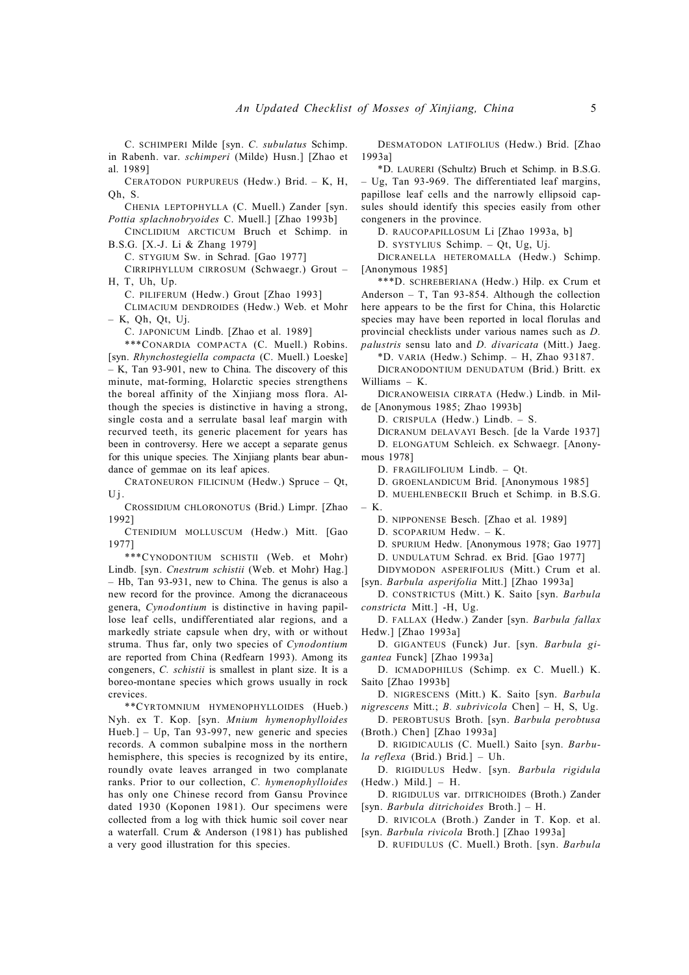C. SCHIMPERI Milde [syn. *C. subulatus* Schimp. in Rabenh. var. *schimperi* (Milde) Husn.] [Zhao et al. 1989]

CERATODON PURPUREUS (Hedw.) Brid. – K, H, Qh, S.

CHENIA LEPTOPHYLLA (C. Muell.) Zander [syn. *Pottia splachnobryoides* C. Muell.] [Zhao 1993b]

CINCLIDIUM ARCTICUM Bruch et Schimp. in B.S.G. [X.-J. Li & Zhang 1979]

C. STYGIUM Sw. in Schrad. [Gao 1977]

CIRRIPHYLLUM CIRROSUM (Schwaegr.) Grout – H, T, Uh, Up.

C. PILIFERUM (Hedw.) Grout [Zhao 1993]

CLIMACIUM DENDROIDES (Hedw.) Web. et Mohr – K, Qh, Qt, Uj.

C. JAPONICUM Lindb. [Zhao et al. 1989]

\*\*\*CONARDIA COMPACTA (C. Muell.) Robins. [syn. *Rhynchostegiella compacta* (C. Muell.) Loeske] – K, Tan 93-901, new to China. The discovery of this minute, mat-forming, Holarctic species strengthens the boreal affinity of the Xinjiang moss flora. Although the species is distinctive in having a strong, single costa and a serrulate basal leaf margin with recurved teeth, its generic placement for years has been in controversy. Here we accept a separate genus for this unique species. The Xinjiang plants bear abundance of gemmae on its leaf apices.

CRATONEURON FILICINUM (Hedw.) Spruce – Qt,  $Uj$ .

CROSSIDIUM CHLORONOTUS (Brid.) Limpr. [Zhao 1992]

CTENIDIUM MOLLUSCUM (Hedw.) Mitt. [Gao 1977]

\*\*\*CYNODONTIUM SCHISTII (Web. et Mohr) Lindb. [syn. *Cnestrum schistii* (Web. et Mohr) Hag.] – Hb, Tan 93-931, new to China. The genus is also a new record for the province. Among the dicranaceous genera, *Cynodontium* is distinctive in having papillose leaf cells, undifferentiated alar regions, and a markedly striate capsule when dry, with or without struma. Thus far, only two species of *Cynodontium* are reported from China (Redfearn 1993). Among its congeners, *C. schistii* is smallest in plant size. It is a boreo-montane species which grows usually in rock crevices.

\*\*CYRTOMNIUM HYMENOPHYLLOIDES (Hueb.) Nyh. ex T. Kop. [syn. *Mnium hymenophylloides* Hueb.] – Up, Tan 93-997, new generic and species records. A common subalpine moss in the northern hemisphere, this species is recognized by its entire, roundly ovate leaves arranged in two complanate ranks. Prior to our collection, *C. hymenophylloides* has only one Chinese record from Gansu Province dated 1930 (Koponen 1981). Our specimens were collected from a log with thick humic soil cover near a waterfall. Crum & Anderson (1981) has published a very good illustration for this species.

DESMATODON LATIFOLIUS (Hedw.) Brid. [Zhao 1993a]

\*D. LAURERI (Schultz) Bruch et Schimp. in B.S.G. – Ug, Tan 93-969. The differentiated leaf margins, papillose leaf cells and the narrowly ellipsoid capsules should identify this species easily from other congeners in the province.

D. RAUCOPAPILLOSUM Li [Zhao 1993a, b]

D. SYSTYLIUS Schimp. – Qt, Ug, Uj.

DICRANELLA HETEROMALLA (Hedw.) Schimp. [Anonymous 1985]

\*\*\*D. SCHREBERIANA (Hedw.) Hilp. ex Crum et Anderson – T, Tan 93-854. Although the collection here appears to be the first for China, this Holarctic species may have been reported in local florulas and provincial checklists under various names such as *D. palustris* sensu lato and *D. divaricata* (Mitt.) Jaeg.

\*D. VARIA (Hedw.) Schimp. – H, Zhao 93187.

DICRANODONTIUM DENUDATUM (Brid.) Britt. ex Williams – K.

DICRANOWEISIA CIRRATA (Hedw.) Lindb. in Milde [Anonymous 1985; Zhao 1993b]

D. CRISPULA (Hedw.) Lindb. – S.

DICRANUM DELAVAYI Besch. [de la Varde 1937] D. ELONGATUM Schleich. ex Schwaegr. [Anonymous 1978]

D. FRAGILIFOLIUM Lindb. – Qt.

D. GROENLANDICUM Brid. [Anonymous 1985]

D. MUEHLENBECKII Bruch et Schimp. in B.S.G. – K.

D. NIPPONENSE Besch. [Zhao et al. 1989]

D. SCOPARIUM Hedw. – K.

D. SPURIUM Hedw. [Anonymous 1978; Gao 1977]

D. UNDULATUM Schrad. ex Brid. [Gao 1977]

DIDYMODON ASPERIFOLIUS (Mitt.) Crum et al.

[syn. *Barbula asperifolia* Mitt.] [Zhao 1993a]

D. CONSTRICTUS (Mitt.) K. Saito [syn. *Barbula constricta* Mitt.] -H, Ug.

D. FALLAX (Hedw.) Zander [syn. *Barbula fallax* Hedw.] [Zhao 1993a]

D. GIGANTEUS (Funck) Jur. [syn. *Barbula gigantea* Funck] [Zhao 1993a]

D. ICMADOPHILUS (Schimp. ex C. Muell.) K. Saito [Zhao 1993b]

D. NIGRESCENS (Mitt.) K. Saito [syn. *Barbula nigrescens* Mitt.; *B. subrivicola* Chen] – H, S, Ug.

D. PEROBTUSUS Broth. [syn. *Barbula perobtusa* (Broth.) Chen] [Zhao 1993a]

D. RIGIDICAULIS (C. Muell.) Saito [syn. *Barbula reflexa* (Brid.) Brid.] – Uh.

D. RIGIDULUS Hedw. [syn. *Barbula rigidula*  $(Hedw.)$  Mild.] – H.

D. RIGIDULUS var. DITRICHOIDES (Broth.) Zander [syn. *Barbula ditrichoides* Broth.] – H.

D. RIVICOLA (Broth.) Zander in T. Kop. et al. [syn. *Barbula rivicola* Broth.] [Zhao 1993a]

D. RUFIDULUS (C. Muell.) Broth. [syn. *Barbula*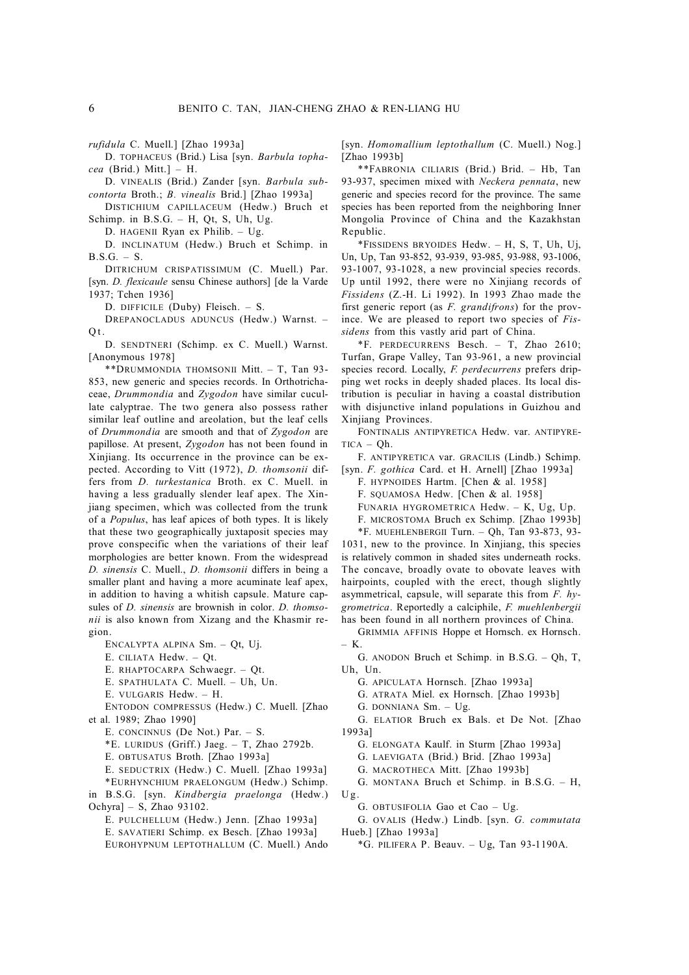D. TOPHACEUS (Brid.) Lisa [syn. *Barbula tophacea* (Brid.) Mitt.] – H.

D. VINEALIS (Brid.) Zander [syn. *Barbula subcontorta* Broth.; *B. vinealis* Brid.] [Zhao 1993a]

DISTICHIUM CAPILLACEUM (Hedw.) Bruch et Schimp. in B.S.G. – H, Qt, S, Uh, Ug.

D. HAGENII Ryan ex Philib. – Ug.

D. INCLINATUM (Hedw.) Bruch et Schimp. in  $B.S.G. - S.$ 

DITRICHUM CRISPATISSIMUM (C. Muell.) Par. [syn. *D. flexicaule* sensu Chinese authors] [de la Varde 1937; Tchen 1936]

D. DIFFICILE (Duby) Fleisch. – S.

DREPANOCLADUS ADUNCUS (Hedw.) Warnst. –  $Q_t$ .

D. SENDTNERI (Schimp. ex C. Muell.) Warnst. [Anonymous 1978]

\*\*DRUMMONDIA THOMSONII Mitt. – T, Tan 93- 853, new generic and species records. In Orthotrichaceae, *Drummondia* and *Zygodon* have similar cucullate calyptrae. The two genera also possess rather similar leaf outline and areolation, but the leaf cells of *Drummondia* are smooth and that of *Zygodon* are papillose. At present, *Zygodon* has not been found in Xinjiang. Its occurrence in the province can be expected. According to Vitt (1972), *D. thomsonii* differs from *D. turkestanica* Broth. ex C. Muell. in having a less gradually slender leaf apex. The Xinjiang specimen, which was collected from the trunk of a *Populus*, has leaf apices of both types. It is likely that these two geographically juxtaposit species may prove conspecific when the variations of their leaf morphologies are better known. From the widespread *D. sinensis* C. Muell., *D. thomsonii* differs in being a smaller plant and having a more acuminate leaf apex, in addition to having a whitish capsule. Mature capsules of *D. sinensis* are brownish in color. *D. thomsonii* is also known from Xizang and the Khasmir region.

ENCALYPTA ALPINA Sm. – Qt, Uj.

E. CILIATA Hedw. – Qt.

E. RHAPTOCARPA Schwaegr. – Qt.

E. SPATHULATA C. Muell. – Uh, Un.

E. VULGARIS Hedw. – H.

ENTODON COMPRESSUS (Hedw.) C. Muell. [Zhao et al. 1989; Zhao 1990]

E. CONCINNUS (De Not.) Par. – S.

\*E. LURIDUS (Griff.) Jaeg. – T, Zhao 2792b.

E. OBTUSATUS Broth. [Zhao 1993a]

E. SEDUCTRIX (Hedw.) C. Muell. [Zhao 1993a]

\*EURHYNCHIUM PRAELONGUM (Hedw.) Schimp. in B.S.G. [syn. *Kindbergia praelonga* (Hedw.) Ochyra] – S, Zhao 93102.

E. PULCHELLUM (Hedw.) Jenn. [Zhao 1993a]

E. SAVATIERI Schimp. ex Besch. [Zhao 1993a]

EUROHYPNUM LEPTOTHALLUM (C. Muell.) Ando

[syn. *Homomallium leptothallum* (C. Muell.) Nog.] [Zhao 1993b]

\*\*FABRONIA CILIARIS (Brid.) Brid. – Hb, Tan 93-937, specimen mixed with *Neckera pennata*, new generic and species record for the province. The same species has been reported from the neighboring Inner Mongolia Province of China and the Kazakhstan Republic.

\*FISSIDENS BRYOIDES Hedw. – H, S, T, Uh, Uj, Un, Up, Tan 93-852, 93-939, 93-985, 93-988, 93-1006, 93-1007, 93-1028, a new provincial species records. Up until 1992, there were no Xinjiang records of *Fissidens* (Z.-H. Li 1992). In 1993 Zhao made the first generic report (as *F. grandifrons*) for the province. We are pleased to report two species of *Fissidens* from this vastly arid part of China.

\*F. PERDECURRENS Besch. – T, Zhao 2610; Turfan, Grape Valley, Tan 93-961, a new provincial species record. Locally, *F. perdecurrens* prefers dripping wet rocks in deeply shaded places. Its local distribution is peculiar in having a coastal distribution with disjunctive inland populations in Guizhou and Xinjiang Provinces.

FONTINALIS ANTIPYRETICA Hedw. var. ANTIPYRE- $TICA - Oh$ 

F. ANTIPYRETICA var. GRACILIS (Lindb.) Schimp. [syn. *F. gothica* Card. et H. Arnell] [Zhao 1993a]

F. HYPNOIDES Hartm. [Chen & al. 1958]

F. SQUAMOSA Hedw. [Chen & al. 1958]

FUNARIA HYGROMETRICA Hedw. – K, Ug, Up.

F. MICROSTOMA Bruch ex Schimp. [Zhao 1993b]

\*F. MUEHLENBERGII Turn. – Qh, Tan 93-873, 93- 1031, new to the province. In Xinjiang, this species is relatively common in shaded sites underneath rocks. The concave, broadly ovate to obovate leaves with hairpoints, coupled with the erect, though slightly asymmetrical, capsule, will separate this from *F. hygrometrica*. Reportedly a calciphile, *F. muehlenbergii* has been found in all northern provinces of China.

GRIMMIA AFFINIS Hoppe et Hornsch. ex Hornsch. – K.

G. ANODON Bruch et Schimp. in B.S.G. – Qh, T, Uh, Un.

G. APICULATA Hornsch. [Zhao 1993a]

G. ATRATA Miel. ex Hornsch. [Zhao 1993b]

G. DONNIANA Sm. – Ug.

G. ELATIOR Bruch ex Bals. et De Not. [Zhao 1993a]

G. ELONGATA Kaulf. in Sturm [Zhao 1993a]

G. LAEVIGATA (Brid.) Brid. [Zhao 1993a]

G. MACROTHECA Mitt. [Zhao 1993b]

G. MONTANA Bruch et Schimp. in B.S.G. – H,  $U_{\mathfrak{g}}$ 

G. OBTUSIFOLIA Gao et Cao – Ug.

G. OVALIS (Hedw.) Lindb. [syn. *G. commutata* Hueb.] [Zhao 1993a]

 $*G$ . PILIFERA P. Beauv. – Ug, Tan 93-1190A.

*rufidula* C. Muell.] [Zhao 1993a]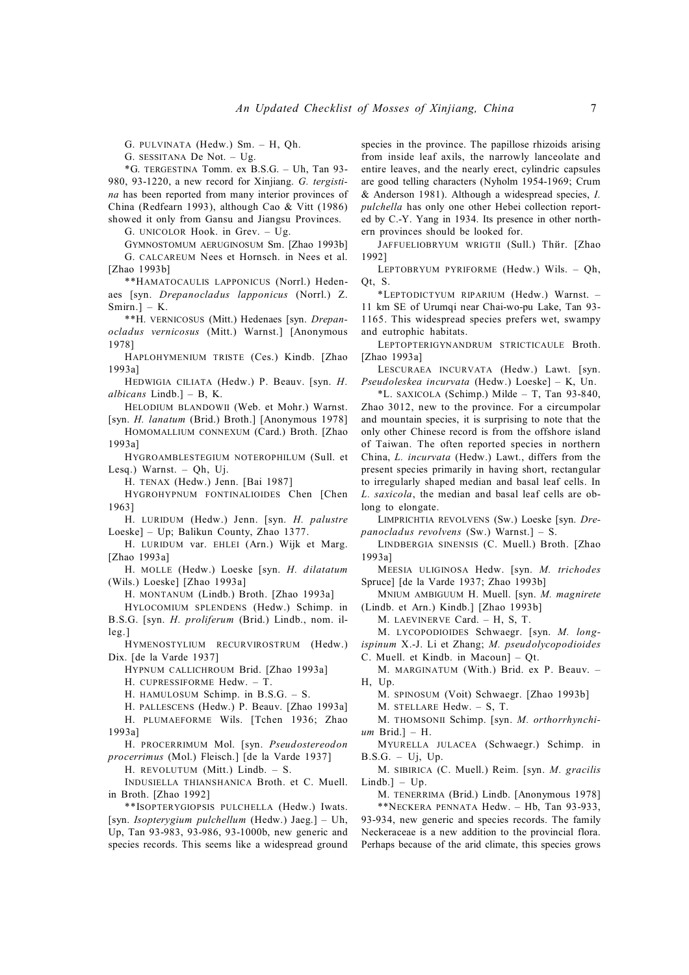G. PULVINATA (Hedw.) Sm. – H, Qh.

G. SESSITANA De Not. – Ug.

\*G. TERGESTINA Tomm. ex B.S.G. – Uh, Tan 93- 980, 93-1220, a new record for Xinjiang. *G. tergistina* has been reported from many interior provinces of China (Redfearn 1993), although Cao & Vitt (1986) showed it only from Gansu and Jiangsu Provinces.

G. UNICOLOR Hook. in Grev. – Ug.

GYMNOSTOMUM AERUGINOSUM Sm. [Zhao 1993b] G. CALCAREUM Nees et Hornsch. in Nees et al. [Zhao 1993b]

\*\*HAMATOCAULIS LAPPONICUS (Norrl.) Hedenaes [syn. *Drepanocladus lapponicus* (Norrl.) Z. Smirn.] – K.

\*\*H. VERNICOSUS (Mitt.) Hedenaes [syn. *Drepanocladus vernicosus* (Mitt.) Warnst.] [Anonymous 1978]

HAPLOHYMENIUM TRISTE (Ces.) Kindb. [Zhao 1993a]

HEDWIGIA CILIATA (Hedw.) P. Beauv. [syn. *H. albicans* Lindb.] – B, K.

HELODIUM BLANDOWII (Web. et Mohr.) Warnst. [syn. *H. lanatum* (Brid.) Broth.] [Anonymous 1978]

HOMOMALLIUM CONNEXUM (Card.) Broth. [Zhao 1993a]

HYGROAMBLESTEGIUM NOTEROPHILUM (Sull. et Lesq.) Warnst. – Qh, Uj.

H. TENAX (Hedw.) Jenn. [Bai 1987]

HYGROHYPNUM FONTINALIOIDES Chen [Chen 1963]

H. LURIDUM (Hedw.) Jenn. [syn. *H. palustre* Loeske] – Up; Balikun County, Zhao 1377.

H. LURIDUM var. EHLEI (Arn.) Wijk et Marg. [Zhao 1993a]

H. MOLLE (Hedw.) Loeske [syn. *H. dilatatum* (Wils.) Loeske] [Zhao 1993a]

H. MONTANUM (Lindb.) Broth. [Zhao 1993a]

HYLOCOMIUM SPLENDENS (Hedw.) Schimp. in B.S.G. [syn. *H. proliferum* (Brid.) Lindb., nom. illeg.]

HYMENOSTYLIUM RECURVIROSTRUM (Hedw.) Dix. [de la Varde 1937]

HYPNUM CALLICHROUM Brid. [Zhao 1993a]

H. CUPRESSIFORME Hedw. – T.

H. HAMULOSUM Schimp. in B.S.G. – S.

H. PALLESCENS (Hedw.) P. Beauv. [Zhao 1993a] H. PLUMAEFORME Wils. [Tchen 1936; Zhao 1993a]

H. PROCERRIMUM Mol. [syn. *Pseudostereodon procerrimus* (Mol.) Fleisch.] [de la Varde 1937]

H. REVOLUTUM (Mitt.) Lindb. – S.

INDUSIELLA THIANSHANICA Broth. et C. Muell. in Broth. [Zhao 1992]

\*\*ISOPTERYGIOPSIS PULCHELLA (Hedw.) Iwats. [syn. *Isopterygium pulchellum* (Hedw.) Jaeg.] – Uh, Up, Tan 93-983, 93-986, 93-1000b, new generic and species records. This seems like a widespread ground species in the province. The papillose rhizoids arising from inside leaf axils, the narrowly lanceolate and entire leaves, and the nearly erect, cylindric capsules are good telling characters (Nyholm 1954-1969; Crum & Anderson 1981). Although a widespread species, *I. pulchella* has only one other Hebei collection reported by C.-Y. Yang in 1934. Its presence in other northern provinces should be looked for.

JAFFUELIOBRYUM WRIGTII (Sull.) Thйr. [Zhao 1992]

LEPTOBRYUM PYRIFORME (Hedw.) Wils. – Qh, Qt, S.

\*LEPTODICTYUM RIPARIUM (Hedw.) Warnst. – 11 km SE of Urumqi near Chai-wo-pu Lake, Tan 93- 1165. This widespread species prefers wet, swampy and eutrophic habitats.

LEPTOPTERIGYNANDRUM STRICTICAULE Broth. [Zhao 1993a]

LESCURAEA INCURVATA (Hedw.) Lawt. [syn. *Pseudoleskea incurvata* (Hedw.) Loeske] – K, Un.

 $*$ L. SAXICOLA (Schimp.) Milde – T, Tan 93-840, Zhao 3012, new to the province. For a circumpolar and mountain species, it is surprising to note that the only other Chinese record is from the offshore island of Taiwan. The often reported species in northern China, *L. incurvata* (Hedw.) Lawt., differs from the present species primarily in having short, rectangular to irregularly shaped median and basal leaf cells. In *L. saxicola*, the median and basal leaf cells are oblong to elongate.

LIMPRICHTIA REVOLVENS (Sw.) Loeske [syn. *Drepanocladus revolvens* (Sw.) Warnst.] – S.

LINDBERGIA SINENSIS (C. Muell.) Broth. [Zhao 1993a]

MEESIA ULIGINOSA Hedw. [syn. *M. trichodes* Spruce] [de la Varde 1937; Zhao 1993b]

MNIUM AMBIGUUM H. Muell. [syn. *M. magnirete* (Lindb. et Arn.) Kindb.] [Zhao 1993b]

M. LAEVINERVE Card. – H, S, T.

M. LYCOPODIOIDES Schwaegr. [syn. *M. longispinum* X.-J. Li et Zhang; *M. pseudolycopodioides*

C. Muell. et Kindb. in Macoun] – Qt.

M. MARGINATUM (With.) Brid. ex P. Beauv. – H, Up.

M. SPINOSUM (Voit) Schwaegr. [Zhao 1993b]

M. STELLARE Hedw. – S, T.

M. THOMSONII Schimp. [syn. *M. orthorrhynchium* Brid.] – H.

MYURELLA JULACEA (Schwaegr.) Schimp. in  $B.S.G. - Uj$ ,  $Up.$ 

M. SIBIRICA (C. Muell.) Reim. [syn. *M. gracilis*  $Lindb.$ ] – Up.

M. TENERRIMA (Brid.) Lindb. [Anonymous 1978] \*\*NECKERA PENNATA Hedw. – Hb, Tan 93-933, 93-934, new generic and species records. The family Neckeraceae is a new addition to the provincial flora. Perhaps because of the arid climate, this species grows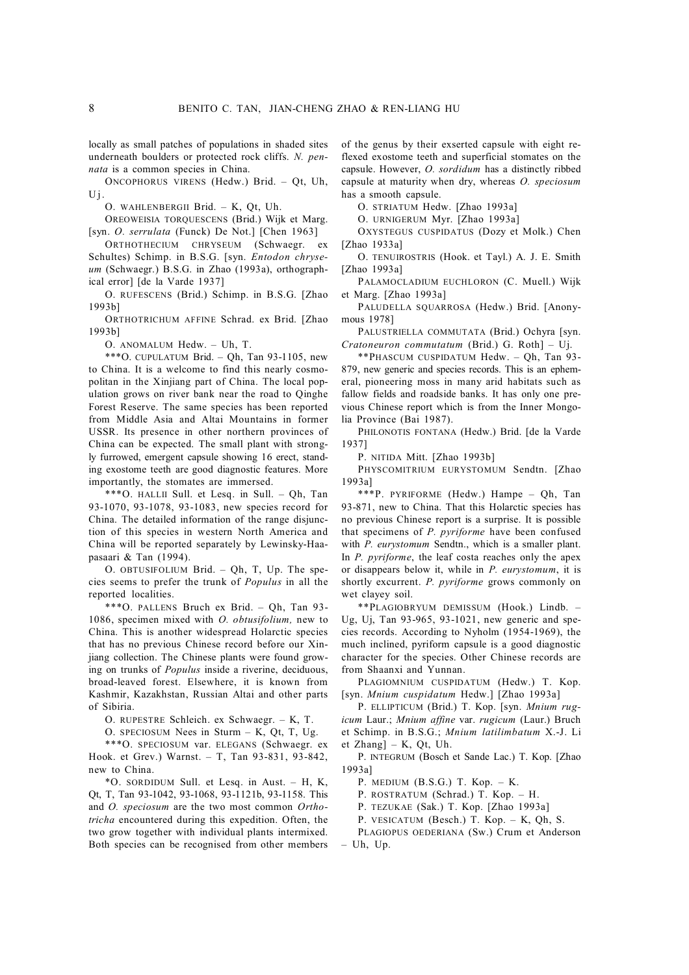locally as small patches of populations in shaded sites underneath boulders or protected rock cliffs. *N. pennata* is a common species in China.

ONCOPHORUS VIRENS (Hedw.) Brid. – Qt, Uh,  $Uj$ .

O. WAHLENBERGII Brid. – K, Qt, Uh.

OREOWEISIA TORQUESCENS (Brid.) Wijk et Marg. [syn. *O. serrulata* (Funck) De Not.] [Chen 1963]

ORTHOTHECIUM CHRYSEUM (Schwaegr. ex Schultes) Schimp. in B.S.G. [syn. *Entodon chryseum* (Schwaegr.) B.S.G. in Zhao (1993a), orthographical error] [de la Varde 1937]

O. RUFESCENS (Brid.) Schimp. in B.S.G. [Zhao 1993b]

ORTHOTRICHUM AFFINE Schrad. ex Brid. [Zhao 1993b]

O. ANOMALUM Hedw. – Uh, T.

\*\*\*O. CUPULATUM Brid. – Qh, Tan 93-1105, new to China. It is a welcome to find this nearly cosmopolitan in the Xinjiang part of China. The local population grows on river bank near the road to Qinghe Forest Reserve. The same species has been reported from Middle Asia and Altai Mountains in former USSR. Its presence in other northern provinces of China can be expected. The small plant with strongly furrowed, emergent capsule showing 16 erect, standing exostome teeth are good diagnostic features. More importantly, the stomates are immersed.

\*\*\*O. HALLII Sull. et Lesq. in Sull. – Qh, Tan 93-1070, 93-1078, 93-1083, new species record for China. The detailed information of the range disjunction of this species in western North America and China will be reported separately by Lewinsky-Haapasaari & Tan (1994).

O. OBTUSIFOLIUM Brid. – Qh, T, Up. The species seems to prefer the trunk of *Populus* in all the reported localities.

\*\*\*O. PALLENS Bruch ex Brid. – Qh, Tan 93- 1086, specimen mixed with *O. obtusifolium,* new to China. This is another widespread Holarctic species that has no previous Chinese record before our Xinjiang collection. The Chinese plants were found growing on trunks of *Populus* inside a riverine, deciduous, broad-leaved forest. Elsewhere, it is known from Kashmir, Kazakhstan, Russian Altai and other parts of Sibiria.

O. RUPESTRE Schleich. ex Schwaegr. – K, T.

O. SPECIOSUM Nees in Sturm – K, Qt, T, Ug.

\*\*\*O. SPECIOSUM var. ELEGANS (Schwaegr. ex Hook. et Grev.) Warnst. – T, Tan 93-831, 93-842, new to China.

\*O. SORDIDUM Sull. et Lesq. in Aust. – H, K, Qt, T, Tan 93-1042, 93-1068, 93-1121b, 93-1158. This and *O. speciosum* are the two most common *Orthotricha* encountered during this expedition. Often, the two grow together with individual plants intermixed. Both species can be recognised from other members of the genus by their exserted capsule with eight reflexed exostome teeth and superficial stomates on the capsule. However, *O. sordidum* has a distinctly ribbed capsule at maturity when dry, whereas *O. speciosum* has a smooth capsule.

O. STRIATUM Hedw. [Zhao 1993a]

O. URNIGERUM Myr. [Zhao 1993a]

OXYSTEGUS CUSPIDATUS (Dozy et Molk.) Chen [Zhao 1933a]

O. TENUIROSTRIS (Hook. et Tayl.) A. J. E. Smith [Zhao 1993a]

PALAMOCLADIUM EUCHLORON (C. Muell.) Wijk et Marg. [Zhao 1993a]

PALUDELLA SQUARROSA (Hedw.) Brid. [Anonymous 1978]

PALUSTRIELLA COMMUTATA (Brid.) Ochyra [syn. *Cratoneuron commutatum* (Brid.) G. Roth] – Uj.

\*\*PHASCUM CUSPIDATUM Hedw. – Qh, Tan 93- 879, new generic and species records. This is an ephemeral, pioneering moss in many arid habitats such as fallow fields and roadside banks. It has only one previous Chinese report which is from the Inner Mongolia Province (Bai 1987).

PHILONOTIS FONTANA (Hedw.) Brid. [de la Varde 1937]

P. NITIDA Mitt. [Zhao 1993b]

PHYSCOMITRIUM EURYSTOMUM Sendtn. [Zhao 1993a]

\*\*\*P. PYRIFORME (Hedw.) Hampe – Qh, Tan 93-871, new to China. That this Holarctic species has no previous Chinese report is a surprise. It is possible that specimens of *P. pyriforme* have been confused with *P. eurystomum* Sendtn., which is a smaller plant. In *P. pyriforme*, the leaf costa reaches only the apex or disappears below it, while in *P. eurystomum*, it is shortly excurrent. *P. pyriforme* grows commonly on wet clayey soil.

\*\*PLAGIOBRYUM DEMISSUM (Hook.) Lindb. – Ug, Uj, Tan 93-965, 93-1021, new generic and species records. According to Nyholm (1954-1969), the much inclined, pyriform capsule is a good diagnostic character for the species. Other Chinese records are from Shaanxi and Yunnan.

PLAGIOMNIUM CUSPIDATUM (Hedw.) T. Kop. [syn. *Mnium cuspidatum* Hedw.] [Zhao 1993a]

P. ELLIPTICUM (Brid.) T. Kop. [syn. *Mnium rugicum* Laur.; *Mnium affine* var. *rugicum* (Laur.) Bruch et Schimp. in B.S.G.; *Mnium latilimbatum* X.-J. Li et Zhang] – K, Qt, Uh.

P. INTEGRUM (Bosch et Sande Lac.) T. Kop. [Zhao 1993a]

P. MEDIUM (B.S.G.) T. Kop. – K.

P. ROSTRATUM (Schrad.) T. Kop. – H.

P. TEZUKAE (Sak.) T. Kop. [Zhao 1993a]

- P. VESICATUM (Besch.) T. Kop. K, Qh, S.
- PLAGIOPUS OEDERIANA (Sw.) Crum et Anderson  $-$  Uh, Up.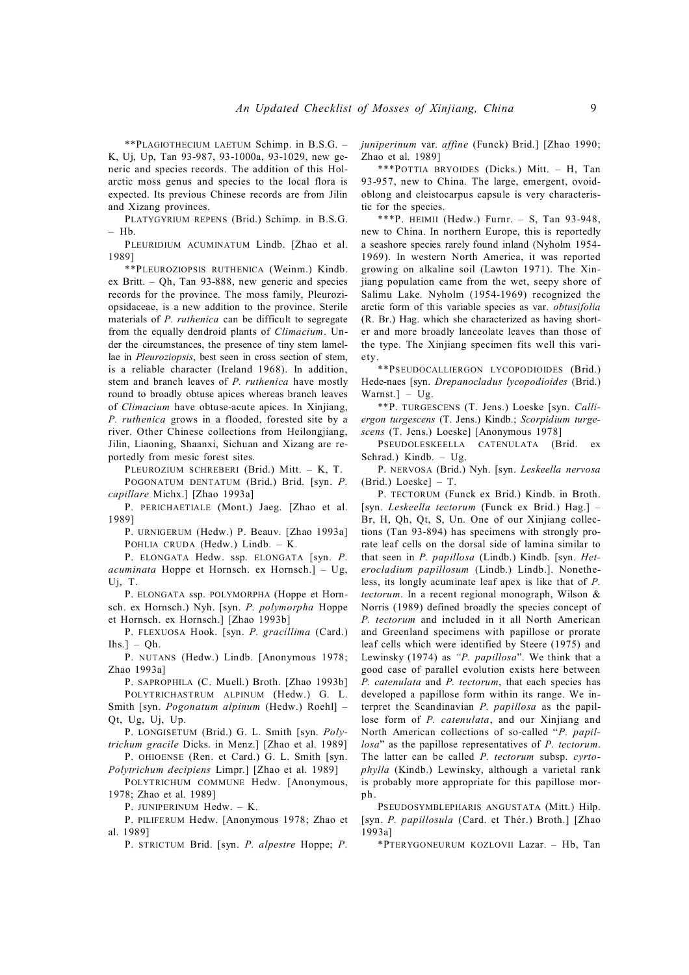\*\*PLAGIOTHECIUM LAETUM Schimp. in B.S.G. – K, Uj, Up, Tan 93-987, 93-1000a, 93-1029, new generic and species records. The addition of this Holarctic moss genus and species to the local flora is expected. Its previous Chinese records are from Jilin and Xizang provinces.

PLATYGYRIUM REPENS (Brid.) Schimp. in B.S.G. – Hb.

PLEURIDIUM ACUMINATUM Lindb. [Zhao et al. 1989]

\*\*PLEUROZIOPSIS RUTHENICA (Weinm.) Kindb. ex Britt. – Qh, Tan 93-888, new generic and species records for the province. The moss family, Pleuroziopsidaceae, is a new addition to the province. Sterile materials of *P. ruthenica* can be difficult to segregate from the equally dendroid plants of *Climacium*. Under the circumstances, the presence of tiny stem lamellae in *Pleuroziopsis*, best seen in cross section of stem, is a reliable character (Ireland 1968). In addition, stem and branch leaves of *P. ruthenica* have mostly round to broadly obtuse apices whereas branch leaves of *Climacium* have obtuse-acute apices. In Xinjiang, *P. ruthenica* grows in a flooded, forested site by a river. Other Chinese collections from Heilongjiang, Jilin, Liaoning, Shaanxi, Sichuan and Xizang are reportedly from mesic forest sites.

PLEUROZIUM SCHREBERI (Brid.) Mitt. – K, T. POGONATUM DENTATUM (Brid.) Brid. [syn. *P.*

*capillare* Michx.] [Zhao 1993a] P. PERICHAETIALE (Mont.) Jaeg. [Zhao et al. 1989]

P. URNIGERUM (Hedw.) P. Beauv. [Zhao 1993a] POHLIA CRUDA (Hedw.) Lindb. – K.

P. ELONGATA Hedw. ssp. ELONGATA [syn. *P. acuminata* Hoppe et Hornsch. ex Hornsch.] – Ug, Uj, T.

P. ELONGATA ssp. POLYMORPHA (Hoppe et Hornsch. ex Hornsch.) Nyh. [syn. *P. polymorpha* Hoppe et Hornsch. ex Hornsch.] [Zhao 1993b]

P. FLEXUOSA Hook. [syn. *P. gracillima* (Card.)  $[$  lhs. $] - Qh$ .

P. NUTANS (Hedw.) Lindb. [Anonymous 1978; Zhao 1993a]

P. SAPROPHILA (C. Muell.) Broth. [Zhao 1993b] POLYTRICHASTRUM ALPINUM (Hedw.) G. L. Smith [syn. *Pogonatum alpinum* (Hedw.) Roehl] – Qt, Ug, Uj, Up.

P. LONGISETUM (Brid.) G. L. Smith [syn. *Polytrichum gracile* Dicks. in Menz.] [Zhao et al. 1989]

P. OHIOENSE (Ren. et Card.) G. L. Smith [syn. *Polytrichum decipiens* Limpr.] [Zhao et al. 1989]

POLYTRICHUM COMMUNE Hedw. [Anonymous, 1978; Zhao et al. 1989]

P. HINIPERINUM Hedw. - K.

P. PILIFERUM Hedw. [Anonymous 1978; Zhao et al. 1989]

P. STRICTUM Brid. [syn. *P. alpestre* Hoppe; *P.*

*juniperinum* var. *affine* (Funck) Brid.] [Zhao 1990; Zhao et al. 1989]

\*\*\*POTTIA BRYOIDES (Dicks.) Mitt. – H, Tan 93-957, new to China. The large, emergent, ovoidoblong and cleistocarpus capsule is very characteristic for the species.

\*\*\*P. HEIMII (Hedw.) Furnr. – S, Tan 93-948, new to China. In northern Europe, this is reportedly a seashore species rarely found inland (Nyholm 1954- 1969). In western North America, it was reported growing on alkaline soil (Lawton 1971). The Xinjiang population came from the wet, seepy shore of Salimu Lake. Nyholm (1954-1969) recognized the arctic form of this variable species as var. *obtusifolia* (R. Br.) Hag. which she characterized as having shorter and more broadly lanceolate leaves than those of the type. The Xinjiang specimen fits well this variety.

\*\*PSEUDOCALLIERGON LYCOPODIOIDES (Brid.) Hede-naes [syn. *Drepanocladus lycopodioides* (Brid.) Warnst.] – Ug.

\*\*P. TURGESCENS (T. Jens.) Loeske [syn. *Calliergon turgescens* (T. Jens.) Kindb.; *Scorpidium turgescens* (T. Jens.) Loeske] [Anonymous 1978]

PSEUDOLESKEELLA CATENULATA (Brid. ex Schrad.) Kindb. – Ug.

P. NERVOSA (Brid.) Nyh. [syn. *Leskeella nervosa* (Brid.) Loeske] – T.

P. TECTORUM (Funck ex Brid.) Kindb. in Broth. [syn. *Leskeella tectorum* (Funck ex Brid.) Hag.] – Br, H, Qh, Qt, S, Un. One of our Xinjiang collections (Tan 93-894) has specimens with strongly prorate leaf cells on the dorsal side of lamina similar to that seen in *P. papillosa* (Lindb.) Kindb. [syn. *Heterocladium papillosum* (Lindb.) Lindb.]. Nonetheless, its longly acuminate leaf apex is like that of *P. tectorum*. In a recent regional monograph, Wilson & Norris (1989) defined broadly the species concept of *P. tectorum* and included in it all North American and Greenland specimens with papillose or prorate leaf cells which were identified by Steere (1975) and Lewinsky (1974) as *"P. papillosa*". We think that a good case of parallel evolution exists here between *P. catenulata* and *P. tectorum*, that each species has developed a papillose form within its range. We interpret the Scandinavian *P. papillosa* as the papillose form of *P. catenulata*, and our Xinjiang and North American collections of so-called "*P. papillosa*" as the papillose representatives of *P. tectorum*. The latter can be called *P. tectorum* subsp. *cyrtophylla* (Kindb.) Lewinsky, although a varietal rank is probably more appropriate for this papillose morph.

PSEUDOSYMBLEPHARIS ANGUSTATA (Mitt.) Hilp. [syn. *P. papillosula* (Card. et Thér.) Broth.] [Zhao 1993a]

\*PTERYGONEURUM KOZLOVII Lazar. – Hb, Tan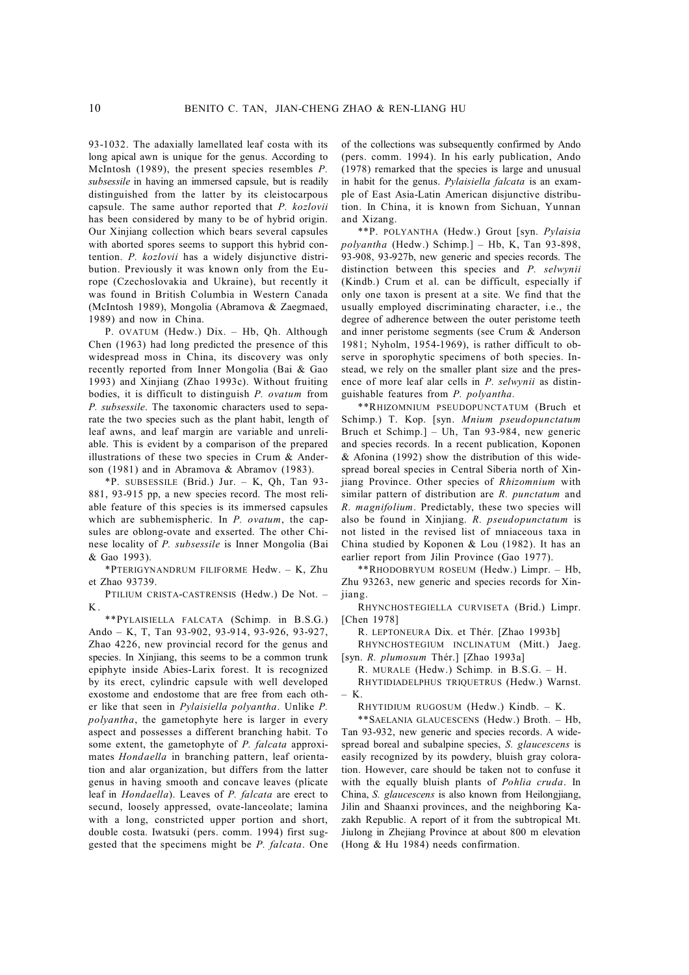93-1032. The adaxially lamellated leaf costa with its long apical awn is unique for the genus. According to McIntosh (1989), the present species resembles *P. subsessile* in having an immersed capsule, but is readily distinguished from the latter by its cleistocarpous capsule. The same author reported that *P. kozlovii* has been considered by many to be of hybrid origin. Our Xinjiang collection which bears several capsules with aborted spores seems to support this hybrid contention. *P. kozlovii* has a widely disjunctive distribution. Previously it was known only from the Europe (Czechoslovakia and Ukraine), but recently it was found in British Columbia in Western Canada (McIntosh 1989), Mongolia (Abramova & Zaegmaed, 1989) and now in China.

P. OVATUM (Hedw.) Dix. – Hb, Qh. Although Chen (1963) had long predicted the presence of this widespread moss in China, its discovery was only recently reported from Inner Mongolia (Bai & Gao 1993) and Xinjiang (Zhao 1993c). Without fruiting bodies, it is difficult to distinguish *P. ovatum* from *P. subsessile*. The taxonomic characters used to separate the two species such as the plant habit, length of leaf awns, and leaf margin are variable and unreliable. This is evident by a comparison of the prepared illustrations of these two species in Crum & Anderson (1981) and in Abramova & Abramov (1983).

\*P. SUBSESSILE (Brid.) Jur. – K, Qh, Tan 93- 881, 93-915 pp, a new species record. The most reliable feature of this species is its immersed capsules which are subhemispheric. In *P. ovatum*, the capsules are oblong-ovate and exserted. The other Chinese locality of *P. subsessile* is Inner Mongolia (Bai & Gao 1993).

\*PTERIGYNANDRUM FILIFORME Hedw. – K, Zhu et Zhao 93739.

PTILIUM CRISTA-CASTRENSIS (Hedw.) De Not. – K .

\*\*PYLAISIELLA FALCATA (Schimp. in B.S.G.) Ando – K, T, Tan 93-902, 93-914, 93-926, 93-927, Zhao 4226, new provincial record for the genus and species. In Xinjiang, this seems to be a common trunk epiphyte inside Abies-Larix forest. It is recognized by its erect, cylindric capsule with well developed exostome and endostome that are free from each other like that seen in *Pylaisiella polyantha*. Unlike *P. polyantha*, the gametophyte here is larger in every aspect and possesses a different branching habit. To some extent, the gametophyte of *P. falcata* approximates *Hondaella* in branching pattern, leaf orientation and alar organization, but differs from the latter genus in having smooth and concave leaves (plicate leaf in *Hondaella*). Leaves of *P. falcata* are erect to secund, loosely appressed, ovate-lanceolate; lamina with a long, constricted upper portion and short, double costa. Iwatsuki (pers. comm. 1994) first suggested that the specimens might be *P. falcata*. One

of the collections was subsequently confirmed by Ando (pers. comm. 1994). In his early publication, Ando (1978) remarked that the species is large and unusual in habit for the genus. *Pylaisiella falcata* is an example of East Asia-Latin American disjunctive distribution. In China, it is known from Sichuan, Yunnan and Xizang.

\*\*P. POLYANTHA (Hedw.) Grout [syn. *Pylaisia polyantha* (Hedw.) Schimp.] – Hb, K, Tan 93-898, 93-908, 93-927b, new generic and species records. The distinction between this species and *P. selwynii* (Kindb.) Crum et al. can be difficult, especially if only one taxon is present at a site. We find that the usually employed discriminating character, i.e., the degree of adherence between the outer peristome teeth and inner peristome segments (see Crum & Anderson 1981; Nyholm, 1954-1969), is rather difficult to observe in sporophytic specimens of both species. Instead, we rely on the smaller plant size and the presence of more leaf alar cells in *P. selwynii* as distinguishable features from *P. polyantha.*

\*\*RHIZOMNIUM PSEUDOPUNCTATUM (Bruch et Schimp.) T. Kop. [syn. *Mnium pseudopunctatum* Bruch et Schimp.] – Uh, Tan 93-984, new generic and species records. In a recent publication, Koponen & Afonina (1992) show the distribution of this widespread boreal species in Central Siberia north of Xinjiang Province. Other species of *Rhizomnium* with similar pattern of distribution are *R. punctatum* and *R. magnifolium*. Predictably, these two species will also be found in Xinjiang. *R. pseudopunctatum* is not listed in the revised list of mniaceous taxa in China studied by Koponen & Lou (1982). It has an earlier report from Jilin Province (Gao 1977).

\*\*RHODOBRYUM ROSEUM (Hedw.) Limpr. – Hb, Zhu 93263, new generic and species records for Xinjiang.

RHYNCHOSTEGIELLA CURVISETA (Brid.) Limpr. [Chen 1978]

R. LEPTONEURA Dix. et Thér. [Zhao 1993b]

RHYNCHOSTEGIUM INCLINATUM (Mitt.) Jaeg. [syn. *R. plumosum* Thér.] [Zhao 1993a]

R. MURALE (Hedw.) Schimp. in B.S.G. – H.

RHYTIDIADELPHUS TRIQUETRUS (Hedw.) Warnst. – K.

RHYTIDIUM RUGOSUM (Hedw.) Kindb. – K.

\*\*SAELANIA GLAUCESCENS (Hedw.) Broth. – Hb, Tan 93-932, new generic and species records. A widespread boreal and subalpine species, *S. glaucescens* is easily recognized by its powdery, bluish gray coloration. However, care should be taken not to confuse it with the equally bluish plants of *Pohlia cruda*. In China, *S. glaucescens* is also known from Heilongjiang, Jilin and Shaanxi provinces, and the neighboring Kazakh Republic. A report of it from the subtropical Mt. Jiulong in Zhejiang Province at about 800 m elevation (Hong & Hu 1984) needs confirmation.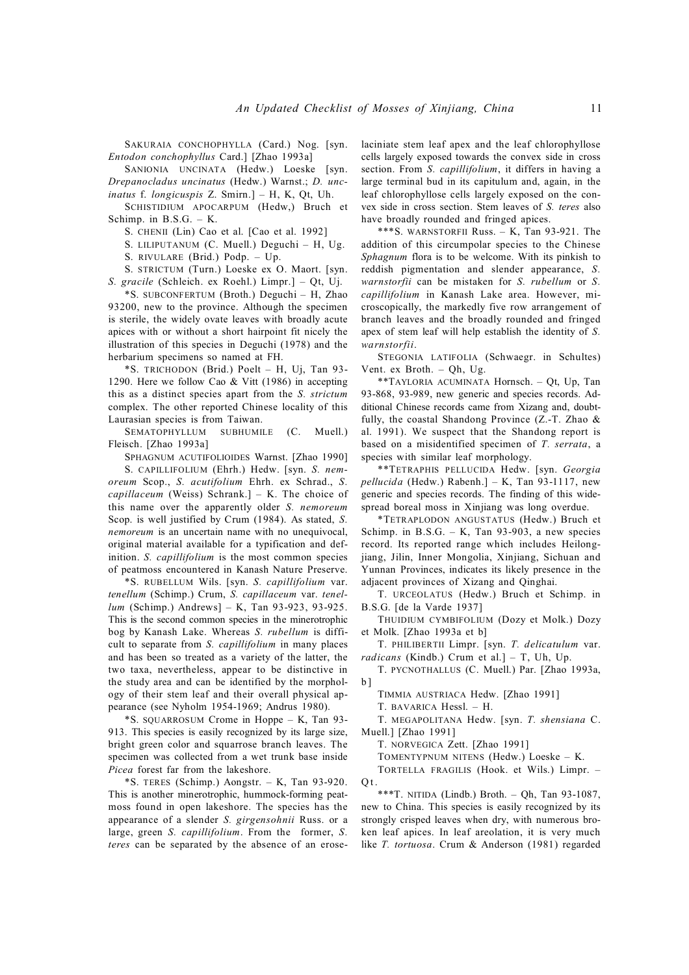SAKURAIA CONCHOPHYLLA (Card.) Nog. [syn. *Entodon conchophyllus* Card.] [Zhao 1993a]

SANIONIA UNCINATA (Hedw.) Loeske [syn. *Drepanocladus uncinatus* (Hedw.) Warnst.; *D. uncinatus* f. *longicuspis* Z. Smirn.] – H, K, Qt, Uh.

SCHISTIDIUM APOCARPUM (Hedw,) Bruch et Schimp. in B.S.G. – K.

S. CHENII (Lin) Cao et al. [Cao et al. 1992]

S. LILIPUTANUM (C. Muell.) Deguchi – H, Ug.

S. RIVULARE (Brid.) Podp. – Up.

S. STRICTUM (Turn.) Loeske ex O. Maort. [syn. *S. gracile* (Schleich. ex Roehl.) Limpr.] – Qt, Uj.

\*S. SUBCONFERTUM (Broth.) Deguchi – H, Zhao 93200, new to the province. Although the specimen is sterile, the widely ovate leaves with broadly acute apices with or without a short hairpoint fit nicely the illustration of this species in Deguchi (1978) and the herbarium specimens so named at FH.

\*S. TRICHODON (Brid.) Poelt – H, Uj, Tan 93- 1290. Here we follow Cao & Vitt (1986) in accepting this as a distinct species apart from the *S. strictum* complex. The other reported Chinese locality of this Laurasian species is from Taiwan.

SEMATOPHYLLUM SUBHUMILE (C. Muell.) Fleisch. [Zhao 1993a]

SPHAGNUM ACUTIFOLIOIDES Warnst. [Zhao 1990]

S. CAPILLIFOLIUM (Ehrh.) Hedw. [syn. *S. nemoreum* Scop., *S. acutifolium* Ehrh. ex Schrad., *S. capillaceum* (Weiss) Schrank.] – K. The choice of this name over the apparently older *S. nemoreum* Scop. is well justified by Crum (1984). As stated, *S. nemoreum* is an uncertain name with no unequivocal, original material available for a typification and definition. *S. capillifolium* is the most common species of peatmoss encountered in Kanash Nature Preserve.

\*S. RUBELLUM Wils. [syn. *S. capillifolium* var. *tenellum* (Schimp.) Crum, *S. capillaceum* var. *tenellum* (Schimp.) Andrews] – K, Tan 93-923, 93-925. This is the second common species in the minerotrophic bog by Kanash Lake. Whereas *S. rubellum* is difficult to separate from *S. capillifolium* in many places and has been so treated as a variety of the latter, the two taxa, nevertheless, appear to be distinctive in the study area and can be identified by the morphology of their stem leaf and their overall physical appearance (see Nyholm 1954-1969; Andrus 1980).

\*S. SQUARROSUM Crome in Hoppe – K, Tan 93- 913. This species is easily recognized by its large size, bright green color and squarrose branch leaves. The specimen was collected from a wet trunk base inside *Picea* forest far from the lakeshore.

 $*$ S. TERES (Schimp.) Aongstr. – K, Tan 93-920. This is another minerotrophic, hummock-forming peatmoss found in open lakeshore. The species has the appearance of a slender *S. girgensohnii* Russ. or a large, green *S. capillifolium*. From the former, *S. teres* can be separated by the absence of an eroselaciniate stem leaf apex and the leaf chlorophyllose cells largely exposed towards the convex side in cross section. From *S. capillifolium*, it differs in having a large terminal bud in its capitulum and, again, in the leaf chlorophyllose cells largely exposed on the convex side in cross section. Stem leaves of *S. teres* also have broadly rounded and fringed apices.

\*\*\*S. WARNSTORFII Russ. – K, Tan 93-921. The addition of this circumpolar species to the Chinese *Sphagnum* flora is to be welcome. With its pinkish to reddish pigmentation and slender appearance, *S. warnstorfii* can be mistaken for *S. rubellum* or *S. capillifolium* in Kanash Lake area. However, microscopically, the markedly five row arrangement of branch leaves and the broadly rounded and fringed apex of stem leaf will help establish the identity of *S. warnstorfii*.

STEGONIA LATIFOLIA (Schwaegr. in Schultes) Vent. ex Broth. – Qh, Ug.

\*\*TAYLORIA ACUMINATA Hornsch. – Qt, Up, Tan 93-868, 93-989, new generic and species records. Additional Chinese records came from Xizang and, doubtfully, the coastal Shandong Province (Z.-T. Zhao & al. 1991). We suspect that the Shandong report is based on a misidentified specimen of *T. serrata*, a species with similar leaf morphology.

\*\*TETRAPHIS PELLUCIDA Hedw. [syn. *Georgia pellucida* (Hedw.) Rabenh.] – K, Tan 93-1117, new generic and species records. The finding of this widespread boreal moss in Xinjiang was long overdue.

\*TETRAPLODON ANGUSTATUS (Hedw.) Bruch et Schimp. in  $B.S.G. - K$ , Tan 93-903, a new species record. Its reported range which includes Heilongjiang, Jilin, Inner Mongolia, Xinjiang, Sichuan and Yunnan Provinces, indicates its likely presence in the adjacent provinces of Xizang and Qinghai.

T. URCEOLATUS (Hedw.) Bruch et Schimp. in B.S.G. [de la Varde 1937]

THUIDIUM CYMBIFOLIUM (Dozy et Molk.) Dozy et Molk. [Zhao 1993a et b]

T. PHILIBERTII Limpr. [syn. *T. delicatulum* var. *radicans* (Kindb.) Crum et al.] – T, Uh, Up.

T. PYCNOTHALLUS (C. Muell.) Par. [Zhao 1993a,  $\mathbf{h}$ 

TIMMIA AUSTRIACA Hedw. [Zhao 1991]

T. BAVARICA Hessl. – H.

 $O<sub>t</sub>$ 

T. MEGAPOLITANA Hedw. [syn. *T. shensiana* C. Muell.] [Zhao 1991]

T. NORVEGICA Zett. [Zhao 1991]

TOMENTYPNUM NITENS (Hedw.) Loeske – K.

TORTELLA FRAGILIS (Hook. et Wils.) Limpr. –

\*\*\*T. NITIDA (Lindb.) Broth. – Qh, Tan 93-1087, new to China. This species is easily recognized by its strongly crisped leaves when dry, with numerous broken leaf apices. In leaf areolation, it is very much like *T. tortuosa*. Crum & Anderson (1981) regarded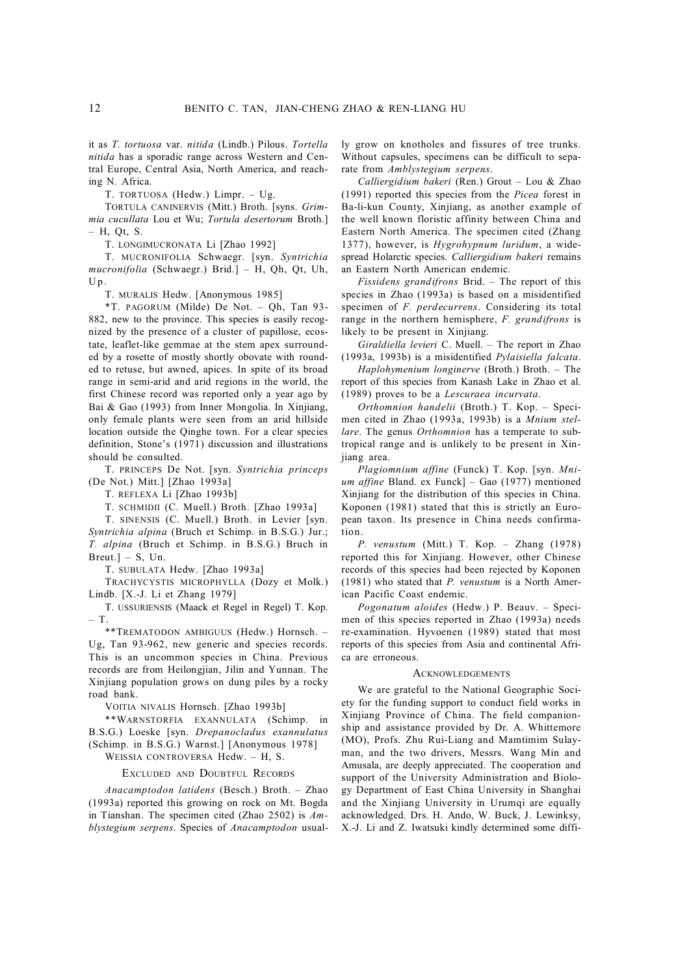it as *T. tortuosa* var. *nitida* (Lindb.) Pilous. *Tortella nitida* has a sporadic range across Western and Central Europe, Central Asia, North America, and reaching N. Africa.

T. TORTUOSA (Hedw.) Limpr. – Ug.

TORTULA CANINERVIS (Mitt.) Broth. [syns. *Grimmia cucullata* Lou et Wu; *Tortula desertorum* Broth.] – H, Qt, S.

T. LONGIMUCRONATA Li [Zhao 1992]

T. MUCRONIFOLIA Schwaegr. [syn. *Syntrichia mucronifolia* (Schwaegr.) Brid.] – H, Qh, Qt, Uh,  $Up.$ 

T. MURALIS Hedw. [Anonymous 1985]

\*T. PAGORUM (Milde) De Not. – Qh, Tan 93- 882, new to the province. This species is easily recognized by the presence of a cluster of papillose, ecostate, leaflet-like gemmae at the stem apex surrounded by a rosette of mostly shortly obovate with rounded to retuse, but awned, apices. In spite of its broad range in semi-arid and arid regions in the world, the first Chinese record was reported only a year ago by Bai & Gao (1993) from Inner Mongolia. In Xinjiang, only female plants were seen from an arid hillside location outside the Qinghe town. For a clear species definition, Stone's (1971) discussion and illustrations should be consulted.

T. PRINCEPS De Not. [syn. *Syntrichia princeps* (De Not.) Mitt.] [Zhao 1993a]

T. REFLEXA Li [Zhao 1993b]

T. SCHMIDII (C. Muell.) Broth. [Zhao 1993a]

T. SINENSIS (C. Muell.) Broth. in Levier [syn. *Syntrichia alpina* (Bruch et Schimp. in B.S.G.) Jur.; *T. alpina* (Bruch et Schimp. in B.S.G.) Bruch in  $Breut.$ ] – S, Un.

T. SUBULATA Hedw. [Zhao 1993a]

TRACHYCYSTIS MICROPHYLLA (Dozy et Molk.) Lindb. [X.-J. Li et Zhang 1979]

T. USSURIENSIS (Maack et Regel in Regel) T. Kop. – T.

\*\*TREMATODON AMBIGUUS (Hedw.) Hornsch. – Ug, Tan 93-962, new generic and species records. This is an uncommon species in China. Previous records are from Heilongjian, Jilin and Yunnan. The Xinjiang population grows on dung piles by a rocky road bank.

VOITIA NIVALIS Hornsch. [Zhao 1993b]

\*\*WARNSTORFIA EXANNULATA (Schimp. in B.S.G.) Loeske [syn. *Drepanocladus exannulatus* (Schimp. in B.S.G.) Warnst.] [Anonymous 1978]

WEISSIA CONTROVERSA Hedw. – H, S.

EXCLUDED AND DOUBTFUL RECORDS

*Anacamptodon latidens* (Besch.) Broth. – Zhao (1993a) reported this growing on rock on Mt. Bogda in Tianshan. The specimen cited (Zhao 2502) is *Amblystegium serpens*. Species of *Anacamptodon* usually grow on knotholes and fissures of tree trunks. Without capsules, specimens can be difficult to separate from *Amblystegium serpens*.

*Calliergidium bakeri* (Ren.) Grout – Lou & Zhao (1991) reported this species from the *Picea* forest in Ba-li-kun County, Xinjiang, as another example of the well known floristic affinity between China and Eastern North America. The specimen cited (Zhang 1377), however, is *Hygrohypnum luridum*, a widespread Holarctic species. *Calliergidium bakeri* remains an Eastern North American endemic.

*Fissidens grandifrons* Brid. – The report of this species in Zhao (1993a) is based on a misidentified specimen of *F. perdecurrens*. Considering its total range in the northern hemisphere, *F. grandifrons* is likely to be present in Xinjiang.

*Giraldiella levieri* C. Muell. – The report in Zhao (1993a, 1993b) is a misidentified *Pylaisiella falcata*.

*Haplohymenium longinerve* (Broth.) Broth. – The report of this species from Kanash Lake in Zhao et al. (1989) proves to be a *Lescuraea incurvata*.

*Orthomnion handelii* (Broth.) T. Kop. – Specimen cited in Zhao (1993a, 1993b) is a *Mnium stellare*. The genus *Orthomnion* has a temperate to subtropical range and is unlikely to be present in Xinjiang area.

*Plagiomnium affine* (Funck) T. Kop. [syn. *Mnium affine* Bland. ex Funck] – Gao (1977) mentioned Xinjiang for the distribution of this species in China. Koponen (1981) stated that this is strictly an European taxon. Its presence in China needs confirmation.

*P. venustum* (Mitt.) T. Kop. – Zhang (1978) reported this for Xinjiang. However, other Chinese records of this species had been rejected by Koponen (1981) who stated that *P. venustum* is a North American Pacific Coast endemic.

*Pogonatum aloides* (Hedw.) P. Beauv. – Specimen of this species reported in Zhao (1993a) needs re-examination. Hyvoenen (1989) stated that most reports of this species from Asia and continental Africa are erroneous.

### **ACKNOWLEDGEMENTS**

We are grateful to the National Geographic Society for the funding support to conduct field works in Xinjiang Province of China. The field companionship and assistance provided by Dr. A. Whittemore (MO), Profs. Zhu Rui-Liang and Mamtimim Sulayman, and the two drivers, Messrs. Wang Min and Amusala, are deeply appreciated. The cooperation and support of the University Administration and Biology Department of East China University in Shanghai and the Xinjiang University in Urumqi are equally acknowledged. Drs. H. Ando, W. Buck, J. Lewinksy, X.-J. Li and Z. Iwatsuki kindly determined some diffi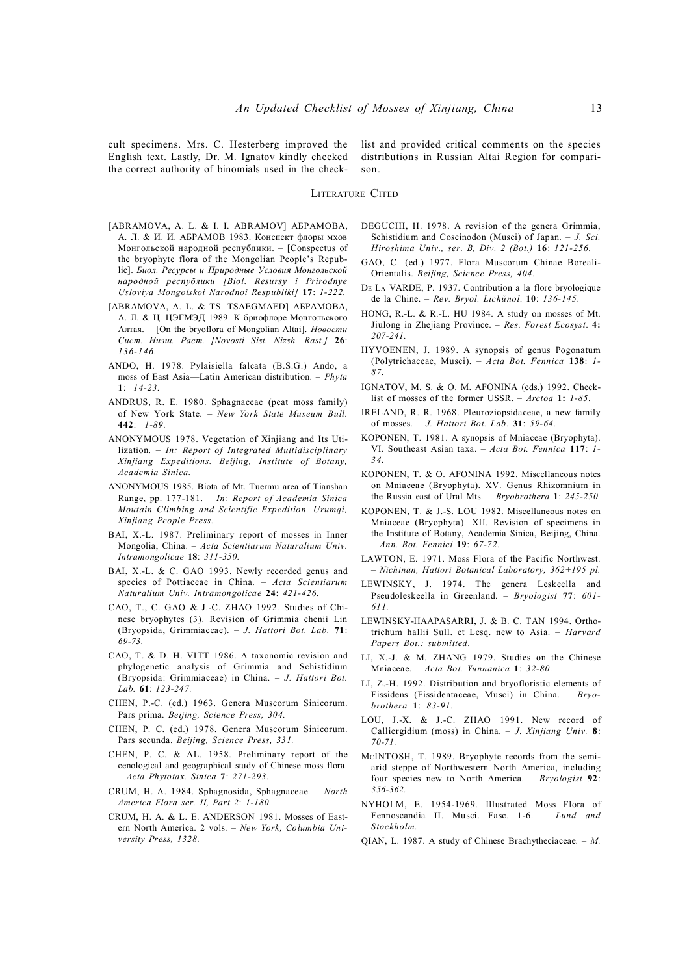cult specimens. Mrs. C. Hesterberg improved the English text. Lastly, Dr. M. Ignatov kindly checked the correct authority of binomials used in the checklist and provided critical comments on the species distributions in Russian Altai Region for comparison.

## LITERATURE CITED

- [ABRAMOVA, A. L. & I. I. ABRAMOV] АБРАМОВА, А. Л. & И. И. АБРАМОВ 1983. Конспект флоры мхов Монгольской народной республики. – [Conspectus of the bryophyte flora of the Mongolian People's Republic]. *Биол. Ресурсы и Природные Условия Монгольской народной республики [Biol. Resursy i Prirodnye Usloviya Mongolskoi Narodnoi Respubliki]* **17**: *1-222.*
- [ABRAMOVA, A. L. & TS. TSAEGMAED] АБРАМОВА, А. Л. & Ц. ЦЭГМЭД 1989. К бриофлоре Монгольского Алтая. – [On the bryoflora of Mongolian Altai]. *Новости Сист. Низш. Раст. [Novosti Sist. Nizsh. Rast.]* **26**: *136-146.*
- ANDO, H. 1978. Pylaisiella falcata (B.S.G.) Ando, a moss of East Asia—Latin American distribution. – *Phyta* **1**: *14-23.*
- ANDRUS, R. E. 1980. Sphagnaceae (peat moss family) of New York State. – *New York State Museum Bull.* **442**: *1-89.*
- ANONYMOUS 1978. Vegetation of Xinjiang and Its Utilization. – *In: Report of Integrated Multidisciplinary Xinjiang Expeditions. Beijing, Institute of Botany, Academia Sinica.*
- ANONYMOUS 1985. Biota of Mt. Tuermu area of Tianshan Range, pp. 177-181. – *In: Report of Academia Sinica Moutain Climbing and Scientific Expedition. Urumqi, Xinjiang People Press.*
- BAI, X.-L. 1987. Preliminary report of mosses in Inner Mongolia, China. – *Acta Scientiarum Naturalium Univ. Intramongolicae* **18**: *311-350.*
- BAI, X.-L. & C. GAO 1993. Newly recorded genus and species of Pottiaceae in China. – *Acta Scientiarum Naturalium Univ. Intramongolicae* **24**: *421-426.*
- CAO, T., C. GAO & J.-C. ZHAO 1992. Studies of Chinese bryophytes (3). Revision of Grimmia chenii Lin (Bryopsida, Grimmiaceae). – *J. Hattori Bot. Lab.* **71**: *69-73.*
- CAO, T. & D. H. VITT 1986. A taxonomic revision and phylogenetic analysis of Grimmia and Schistidium (Bryopsida: Grimmiaceae) in China. – *J. Hattori Bot. Lab.* **61**: *123-247.*
- CHEN, P.-C. (ed.) 1963. Genera Muscorum Sinicorum. Pars prima. *Beijing, Science Press, 304.*
- CHEN, P. C. (ed.) 1978. Genera Muscorum Sinicorum. Pars secunda. *Beijing, Science Press, 331.*
- CHEN, P. C. & AL. 1958. Preliminary report of the cenological and geographical study of Chinese moss flora. – *Acta Phytotax. Sinica* **7**: *271-293.*
- CRUM, H. A. 1984. Sphagnosida, Sphagnaceae. *North America Flora ser. II, Part 2*: *1-180.*
- CRUM, H. A. & L. E. ANDERSON 1981. Mosses of Eastern North America. 2 vols. – *New York, Columbia University Press, 1328.*
- DEGUCHI, H. 1978. A revision of the genera Grimmia, Schistidium and Coscinodon (Musci) of Japan. – *J. Sci. Hiroshima Univ., ser. B, Div. 2 (Bot.)* **16**: *121-256.*
- GAO, C. (ed.) 1977. Flora Muscorum Chinae Boreali-Orientalis. *Beijing, Science Press, 404.*
- DE LA VARDE, P. 1937. Contribution a la flore bryologique de la Chine. – *Rev. Bryol. Lichйnol*. **10**: *136-145*.
- HONG, R.-L. & R.-L. HU 1984. A study on mosses of Mt. Jiulong in Zhejiang Province. – *Res. Forest Ecosyst*. **4:** *207-241.*
- HYVOENEN, J. 1989. A synopsis of genus Pogonatum (Polytrichaceae, Musci). – *Acta Bot. Fennica* **138**: *1- 87.*
- IGNATOV, M. S. & O. M. AFONINA (eds.) 1992. Checklist of mosses of the former USSR. – *Arctoa* **1:** *1-85.*
- IRELAND, R. R. 1968. Pleuroziopsidaceae, a new family of mosses. – *J. Hattori Bot. Lab.* **31**: *59-64.*
- KOPONEN, T. 1981. A synopsis of Mniaceae (Bryophyta). VI. Southeast Asian taxa. – *Acta Bot. Fennica* **117**: *1- 34.*
- KOPONEN, T. & O. AFONINA 1992. Miscellaneous notes on Mniaceae (Bryophyta). XV. Genus Rhizomnium in the Russia east of Ural Mts. – *Bryobrothera* **1**: *245-250.*
- KOPONEN, T. & J.-S. LOU 1982. Miscellaneous notes on Mniaceae (Bryophyta). XII. Revision of specimens in the Institute of Botany, Academia Sinica, Beijing, China. – *Ann. Bot. Fennici* **19**: *67-72.*
- LAWTON, E. 1971. Moss Flora of the Pacific Northwest. – *Nichinan, Hattori Botanical Laboratory, 362+195 pl.*
- LEWINSKY, J. 1974. The genera Leskeella and Pseudoleskeella in Greenland. – *Bryologist* **77**: *601- 611.*
- LEWINSKY-HAAPASARRI, J. & B. C. TAN 1994. Orthotrichum hallii Sull. et Lesq. new to Asia. – *Harvard Papers Bot.: submitted.*
- LI, X.-J. & M. ZHANG 1979. Studies on the Chinese Mniaceae. – *Acta Bot. Yunnanica* **1**: *32-80.*
- LI, Z.-H. 1992. Distribution and bryofloristic elements of Fissidens (Fissidentaceae, Musci) in China. – *Bryobrothera* **1**: *83-91.*
- LOU, J.-X. & J.-C. ZHAO 1991. New record of Calliergidium (moss) in China. – *J. Xinjiang Univ.* **8**: *70-71.*
- MCINTOSH, T. 1989. Bryophyte records from the semiarid steppe of Northwestern North America, including four species new to North America. – *Bryologist* **92**: *356-362.*
- NYHOLM, E. 1954-1969. Illustrated Moss Flora of Fennoscandia II. Musci. Fasc. 1-6. – *Lund and Stockholm.*
- QIAN, L. 1987. A study of Chinese Brachytheciaceae. *M.*